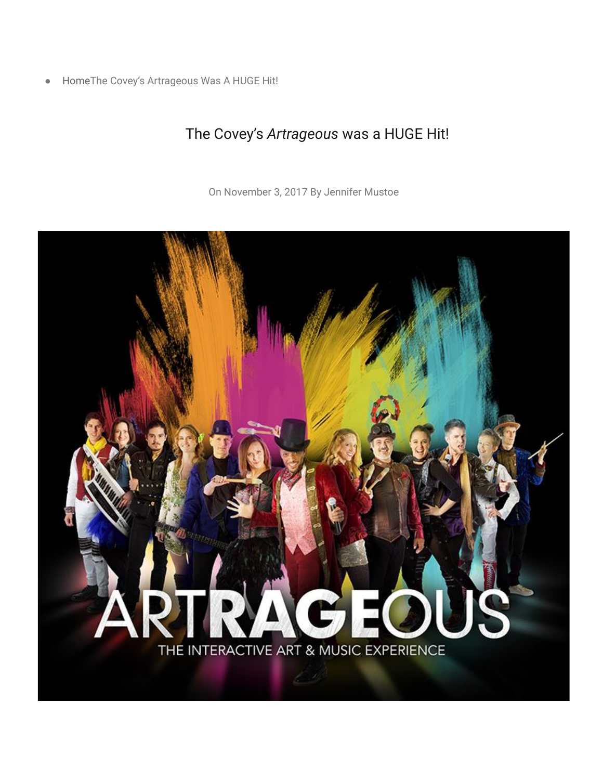● [HomeT](https://frontrowreviewersutah.com/)he Covey's Artrageous Was A HUGE Hit!

## The Covey's *Artrageous* was a HUGE Hit!

On [November 3, 2017](https://frontrowreviewersutah.com/?m=20171103) By [Jennifer Mustoe](https://frontrowreviewersutah.com/?author=4)

## THE INTERACTIVE ART & MUSIC EXPERIENCE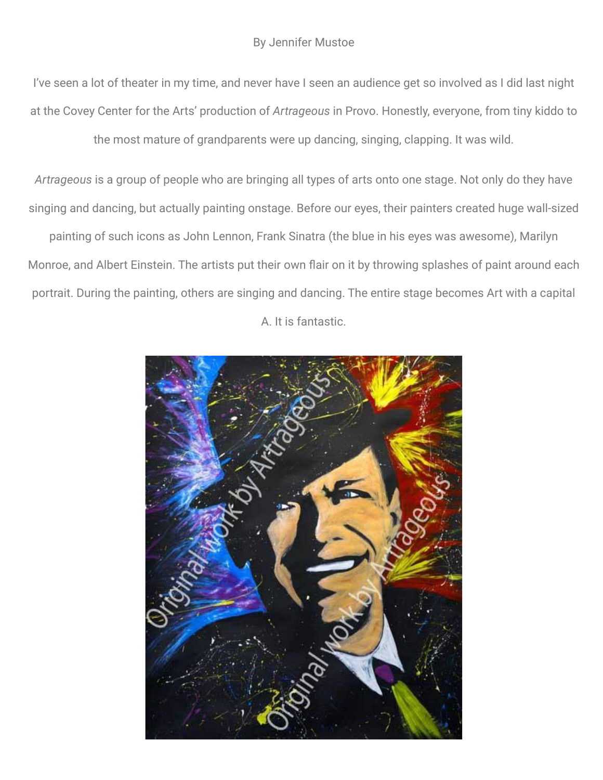I've seen a lot of theater in my time, and never have I seen an audience get so involved as I did last night at the Covey Center for the Arts' production of *Artrageous* in Provo. Honestly, everyone, from tiny kiddo to the most mature of grandparents were up dancing, singing, clapping. It was wild.

*Artrageous* is a group of people who are bringing all types of arts onto one stage. Not only do they have singing and dancing, but actually painting onstage. Before our eyes, their painters created huge wall-sized painting of such icons as John Lennon, Frank Sinatra (the blue in his eyes was awesome), Marilyn Monroe, and Albert Einstein. The artists put their own flair on it by throwing splashes of paint around each portrait. During the painting, others are singing and dancing. The entire stage becomes Art with a capital A. It is fantastic.

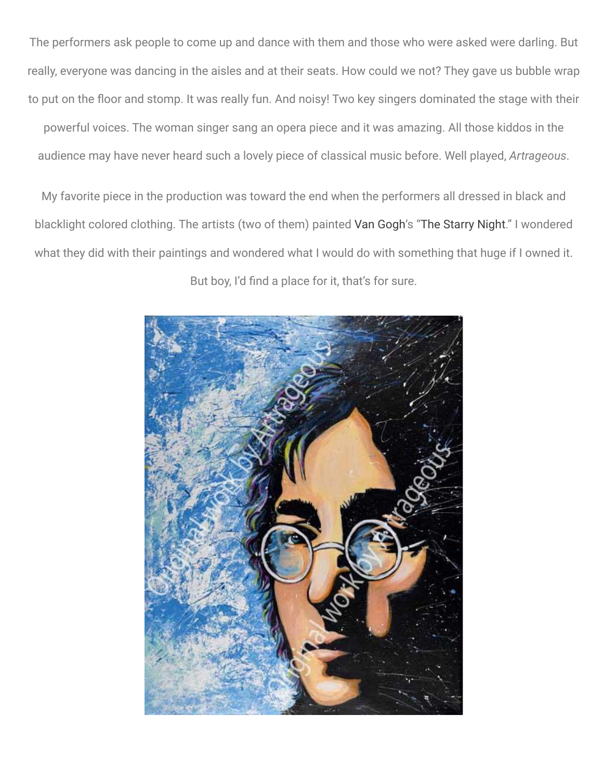The performers ask people to come up and dance with them and those who were asked were darling. But really, everyone was dancing in the aisles and at their seats. How could we not? They gave us bubble wrap to put on the floor and stomp. It was really fun. And noisy! Two key singers dominated the stage with their

powerful voices. The woman singer sang an opera piece and it was amazing. All those kiddos in the audience may have never heard such a lovely piece of classical music before. Well played, *Artrageous*.

My favorite piece in the production was toward the end when the performers all dressed in black and blacklight colored clothing. The artists (two of them) painted [Van Gogh'](https://en.wikipedia.org/wiki/Vincent_van_Gogh)s ["The Starry Night](https://en.wikipedia.org/wiki/The_Starry_Night)." I wondered what they did with their paintings and wondered what I would do with something that huge if I owned it. But boy, I'd find a place for it, that's for sure.

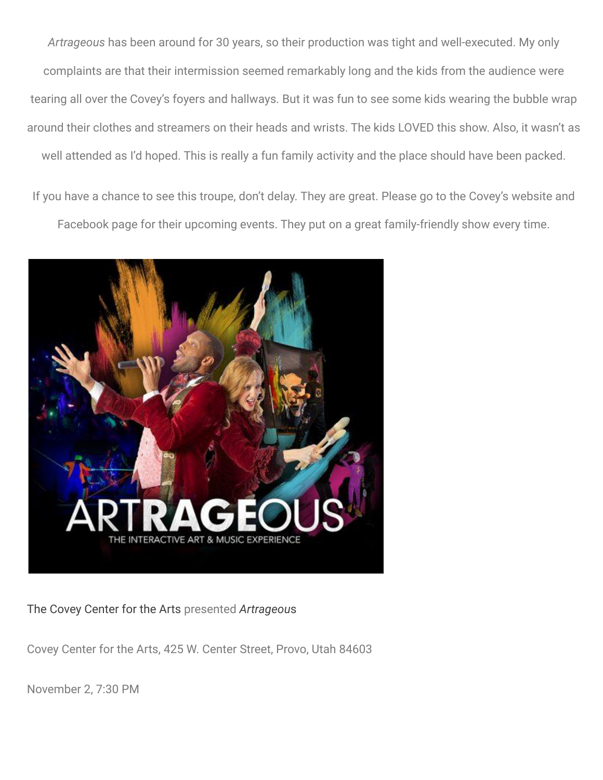*Artrageous* has been around for 30 years, so their production was tight and well-executed. My only complaints are that their intermission seemed remarkably long and the kids from the audience were tearing all over the Covey's foyers and hallways. But it was fun to see some kids wearing the bubble wrap around their clothes and streamers on their heads and wrists. The kids LOVED this show. Also, it wasn't as well attended as I'd hoped. This is really a fun family activity and the place should have been packed.

If you have a chance to see this troupe, don't delay. They are great. Please go to the Covey's website and Facebook page for their upcoming events. They put on a great family-friendly show every time.



[The Covey Center for the Arts](http://www.provo.org/community/covey-center-for-the-arts) presented *[Artrageou](http://artrageousexperience.com/)*s

Covey Center for the Arts, 425 W. Center Street, Provo, Utah 84603

November 2, 7:30 PM